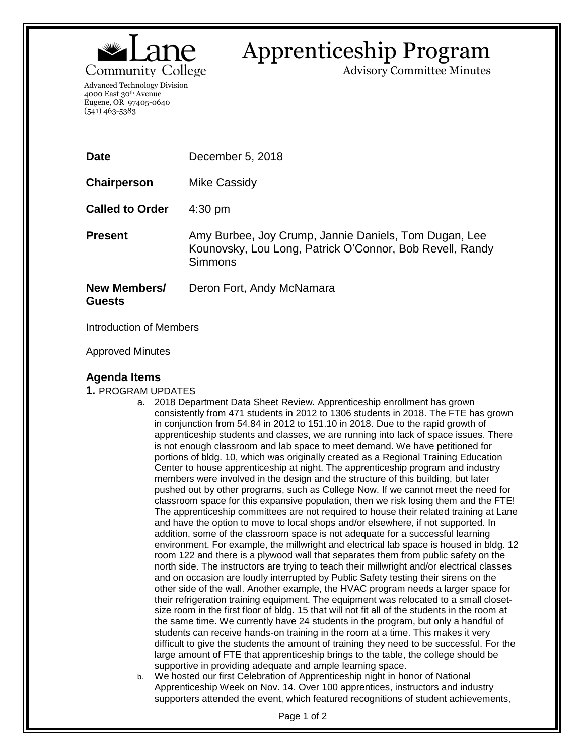

## Apprenticeship Program

Advisory Committee Minutes

Advanced Technology Division 4000 East 30th Avenue Eugene, OR 97405-0640 (541) 463-5383

| <b>Date</b>                   | December 5, 2018                                                                                                                    |
|-------------------------------|-------------------------------------------------------------------------------------------------------------------------------------|
| Chairperson                   | Mike Cassidy                                                                                                                        |
| <b>Called to Order</b>        | $4:30 \text{ pm}$                                                                                                                   |
| <b>Present</b>                | Amy Burbee, Joy Crump, Jannie Daniels, Tom Dugan, Lee<br>Kounovsky, Lou Long, Patrick O'Connor, Bob Revell, Randy<br><b>Simmons</b> |
| New Members/<br><b>Guests</b> | Deron Fort, Andy McNamara                                                                                                           |

Introduction of Members

Approved Minutes

## **Agenda Items**

- **1.** PROGRAM UPDATES
	- a. 2018 Department Data Sheet Review. Apprenticeship enrollment has grown consistently from 471 students in 2012 to 1306 students in 2018. The FTE has grown in conjunction from 54.84 in 2012 to 151.10 in 2018. Due to the rapid growth of apprenticeship students and classes, we are running into lack of space issues. There is not enough classroom and lab space to meet demand. We have petitioned for portions of bldg. 10, which was originally created as a Regional Training Education Center to house apprenticeship at night. The apprenticeship program and industry members were involved in the design and the structure of this building, but later pushed out by other programs, such as College Now. If we cannot meet the need for classroom space for this expansive population, then we risk losing them and the FTE! The apprenticeship committees are not required to house their related training at Lane and have the option to move to local shops and/or elsewhere, if not supported. In addition, some of the classroom space is not adequate for a successful learning environment. For example, the millwright and electrical lab space is housed in bldg. 12 room 122 and there is a plywood wall that separates them from public safety on the north side. The instructors are trying to teach their millwright and/or electrical classes and on occasion are loudly interrupted by Public Safety testing their sirens on the other side of the wall. Another example, the HVAC program needs a larger space for their refrigeration training equipment. The equipment was relocated to a small closetsize room in the first floor of bldg. 15 that will not fit all of the students in the room at the same time. We currently have 24 students in the program, but only a handful of students can receive hands-on training in the room at a time. This makes it very difficult to give the students the amount of training they need to be successful. For the large amount of FTE that apprenticeship brings to the table, the college should be supportive in providing adequate and ample learning space.
	- b. We hosted our first Celebration of Apprenticeship night in honor of National Apprenticeship Week on Nov. 14. Over 100 apprentices, instructors and industry supporters attended the event, which featured recognitions of student achievements,